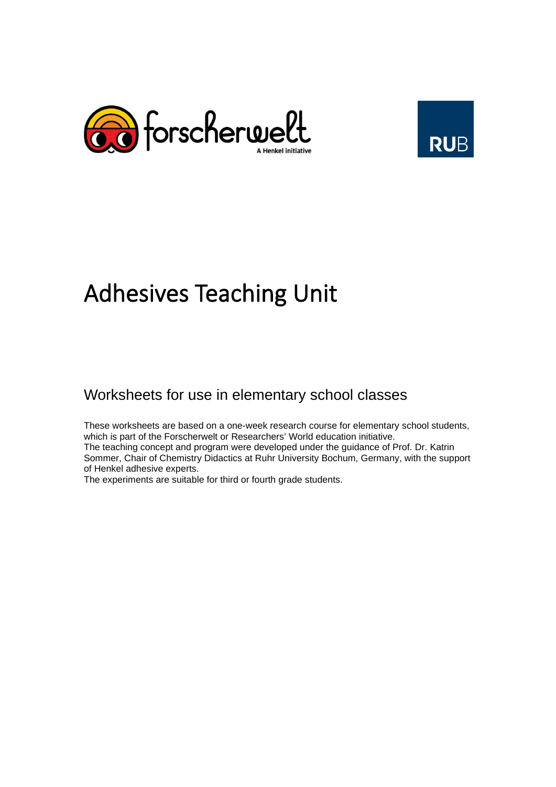



# Adhesives Teaching Unit

# Worksheets for use in elementary school classes

These worksheets are based on a one-week research course for elementary school students, which is part of the Forscherwelt or Researchers' World education initiative. The teaching concept and program were developed under the guidance of Prof. Dr. Katrin Sommer, Chair of Chemistry Didactics at Ruhr University Bochum, Germany, with the support of Henkel adhesive experts.

The experiments are suitable for third or fourth grade students.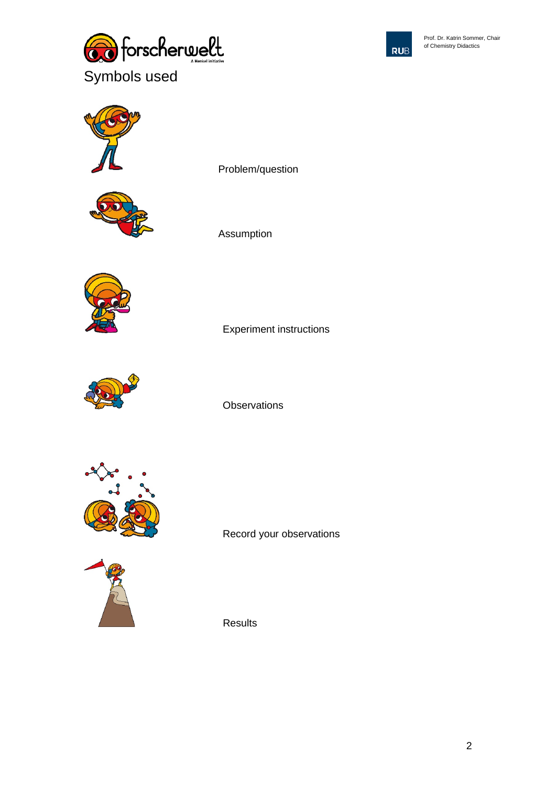



Prof. Dr. Katrin Sommer, Chair of Chemistry Didactics





Problem/question



Assumption



**Observations** 

Experiment instructions



Record your observations



Results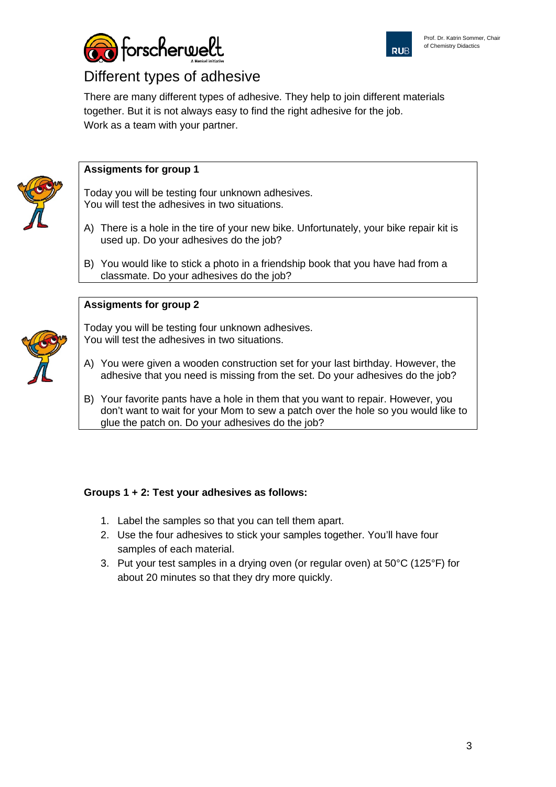



# Different types of adhesive

There are many different types of adhesive. They help to join different materials together. But it is not always easy to find the right adhesive for the job. Work as a team with your partner.



#### **Assigments for group 1**

Today you will be testing four unknown adhesives. You will test the adhesives in two situations.

- A) There is a hole in the tire of your new bike. Unfortunately, your bike repair kit is used up. Do your adhesives do the job?
- B) You would like to stick a photo in a friendship book that you have had from a classmate. Do your adhesives do the job?

#### **Assigments for group 2**



Today you will be testing four unknown adhesives. You will test the adhesives in two situations.

- A) You were given a wooden construction set for your last birthday. However, the adhesive that you need is missing from the set. Do your adhesives do the job?
- B) Your favorite pants have a hole in them that you want to repair. However, you don't want to wait for your Mom to sew a patch over the hole so you would like to glue the patch on. Do your adhesives do the job?

#### **Groups 1 + 2: Test your adhesives as follows:**

- 1. Label the samples so that you can tell them apart.
- 2. Use the four adhesives to stick your samples together. You'll have four samples of each material.
- 3. Put your test samples in a drying oven (or regular oven) at 50°C (125°F) for about 20 minutes so that they dry more quickly.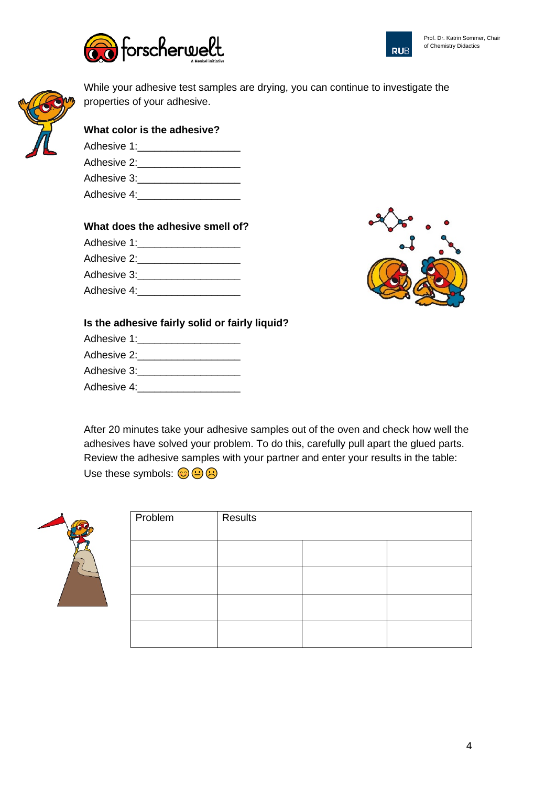





While your adhesive test samples are drying, you can continue to investigate the properties of your adhesive.

| What color is the adhesive? |
|-----------------------------|
| Adhesive 1:                 |
| Adhesive 2:                 |
|                             |

| Adhesive 3: |  |
|-------------|--|
| Adhesive 4: |  |

## **What does the adhesive smell of?**

Adhesive 1:

- Adhesive 2:\_\_\_\_\_\_\_\_\_\_\_\_\_\_\_\_\_\_
- Adhesive 3:
- Adhesive 4:\_\_\_\_\_\_\_\_\_\_\_\_\_\_\_\_\_\_



## **Is the adhesive fairly solid or fairly liquid?**

- Adhesive 1:\_\_\_\_\_\_\_\_\_\_\_\_\_\_\_\_\_\_ Adhesive 2:\_\_\_\_\_\_\_\_\_\_\_\_\_\_\_\_\_\_ Adhesive 3:\_\_\_\_\_\_\_\_\_\_\_\_\_\_\_\_\_\_
- Adhesive 4:

After 20 minutes take your adhesive samples out of the oven and check how well the adhesives have solved your problem. To do this, carefully pull apart the glued parts. Review the adhesive samples with your partner and enter your results in the table: Use these symbols:  $\bigodot \bigodot \bigodot$ 



| Problem | Results |  |  |
|---------|---------|--|--|
|         |         |  |  |
|         |         |  |  |
|         |         |  |  |
|         |         |  |  |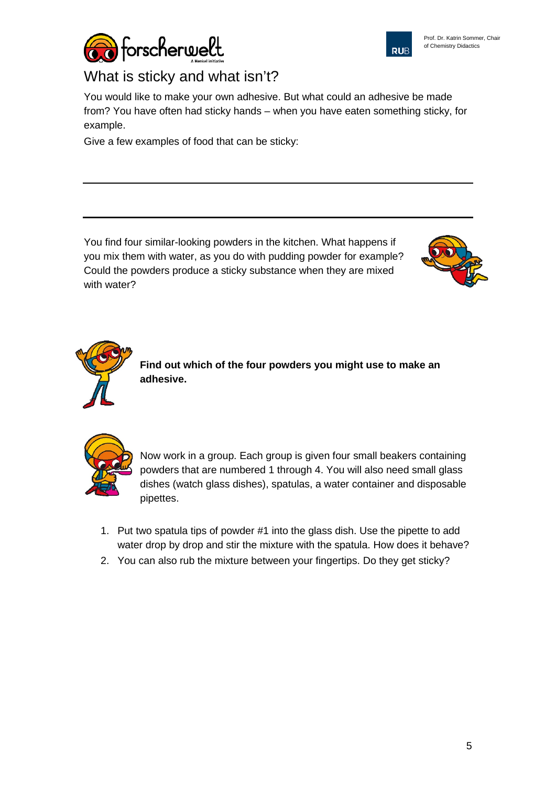



# What is sticky and what isn't?

You would like to make your own adhesive. But what could an adhesive be made from? You have often had sticky hands – when you have eaten something sticky, for example.

Give a few examples of food that can be sticky:

You find four similar-looking powders in the kitchen. What happens if you mix them with water, as you do with pudding powder for example? Could the powders produce a sticky substance when they are mixed with water?





**Find out which of the four powders you might use to make an adhesive.**



Now work in a group. Each group is given four small beakers containing powders that are numbered 1 through 4. You will also need small glass dishes (watch glass dishes), spatulas, a water container and disposable pipettes.

- 1. Put two spatula tips of powder #1 into the glass dish. Use the pipette to add water drop by drop and stir the mixture with the spatula. How does it behave?
- 2. You can also rub the mixture between your fingertips. Do they get sticky?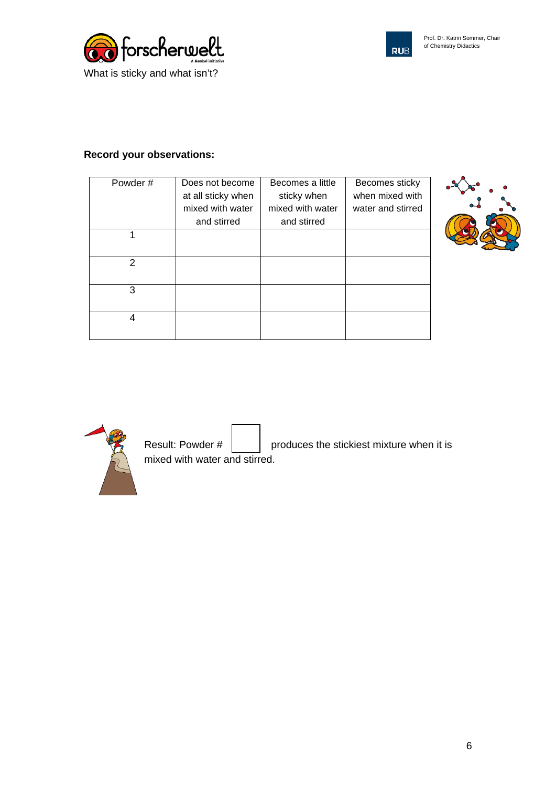



## **Record your observations:**

| Powder# | Does not become    | Becomes a little | Becomes sticky    |
|---------|--------------------|------------------|-------------------|
|         | at all sticky when | sticky when      | when mixed with   |
|         | mixed with water   | mixed with water | water and stirred |
|         | and stirred        | and stirred      |                   |
|         |                    |                  |                   |
|         |                    |                  |                   |
| 2       |                    |                  |                   |
|         |                    |                  |                   |
| 3       |                    |                  |                   |
|         |                    |                  |                   |
| 4       |                    |                  |                   |
|         |                    |                  |                   |





Result: Powder  $\#\begin{bmatrix} \cdot & \cdot & \cdot \\ \cdot & \cdot & \cdot \\ \cdot & \cdot & \cdot \end{bmatrix}$  produces the stickiest mixture when it is mixed with water and stirred.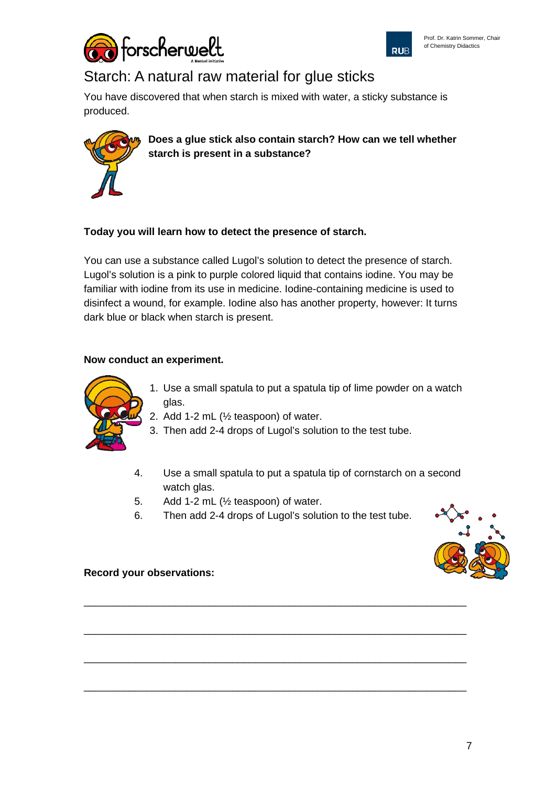



# Starch: A natural raw material for glue sticks

You have discovered that when starch is mixed with water, a sticky substance is produced.



**Does a glue stick also contain starch? How can we tell whether starch is present in a substance?**

### **Today you will learn how to detect the presence of starch.**

You can use a substance called Lugol's solution to detect the presence of starch. Lugol's solution is a pink to purple colored liquid that contains iodine. You may be familiar with iodine from its use in medicine. Iodine-containing medicine is used to disinfect a wound, for example. Iodine also has another property, however: It turns dark blue or black when starch is present.

#### **Now conduct an experiment.**



- 1. Use a small spatula to put a spatula tip of lime powder on a watch glas.
- 2. Add 1-2 mL (½ teaspoon) of water.
- 3. Then add 2-4 drops of Lugol's solution to the test tube.
- 4. Use a small spatula to put a spatula tip of cornstarch on a second watch glas.
- 5. Add 1-2 mL (½ teaspoon) of water.
- 6. Then add 2-4 drops of Lugol's solution to the test tube.

\_\_\_\_\_\_\_\_\_\_\_\_\_\_\_\_\_\_\_\_\_\_\_\_\_\_\_\_\_\_\_\_\_\_\_\_\_\_\_\_\_\_\_\_\_\_\_\_\_\_\_\_\_\_\_\_\_\_\_\_\_\_\_\_\_\_\_

\_\_\_\_\_\_\_\_\_\_\_\_\_\_\_\_\_\_\_\_\_\_\_\_\_\_\_\_\_\_\_\_\_\_\_\_\_\_\_\_\_\_\_\_\_\_\_\_\_\_\_\_\_\_\_\_\_\_\_\_\_\_\_\_\_\_\_

\_\_\_\_\_\_\_\_\_\_\_\_\_\_\_\_\_\_\_\_\_\_\_\_\_\_\_\_\_\_\_\_\_\_\_\_\_\_\_\_\_\_\_\_\_\_\_\_\_\_\_\_\_\_\_\_\_\_\_\_\_\_\_\_\_\_\_

\_\_\_\_\_\_\_\_\_\_\_\_\_\_\_\_\_\_\_\_\_\_\_\_\_\_\_\_\_\_\_\_\_\_\_\_\_\_\_\_\_\_\_\_\_\_\_\_\_\_\_\_\_\_\_\_\_\_\_\_\_\_\_\_\_\_\_



**Record your observations:**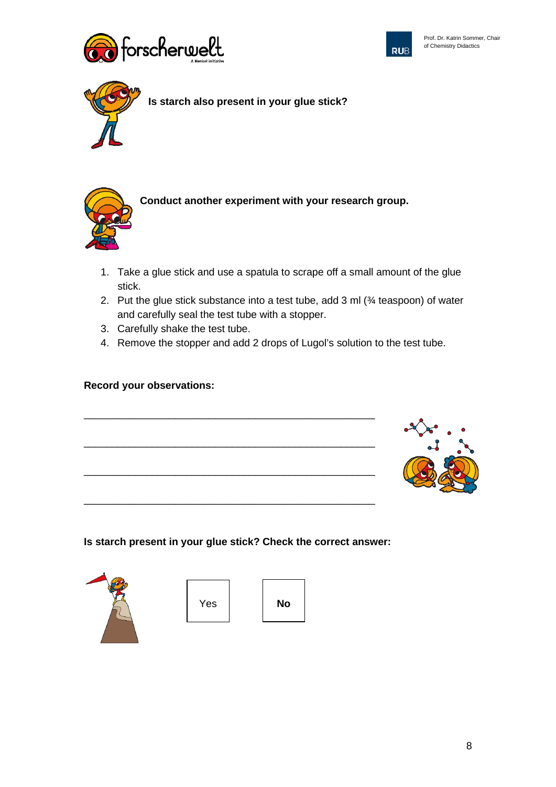





**Is starch also present in your glue stick?**



**Conduct another experiment with your research group.**

- 1. Take a glue stick and use a spatula to scrape off a small amount of the glue stick.
- 2. Put the glue stick substance into a test tube, add 3 ml (¾ teaspoon) of water and carefully seal the test tube with a stopper.
- 3. Carefully shake the test tube.
- 4. Remove the stopper and add 2 drops of Lugol's solution to the test tube.

#### **Record your observations:**



#### **Is starch present in your glue stick? Check the correct answer:**



Yes **No** 

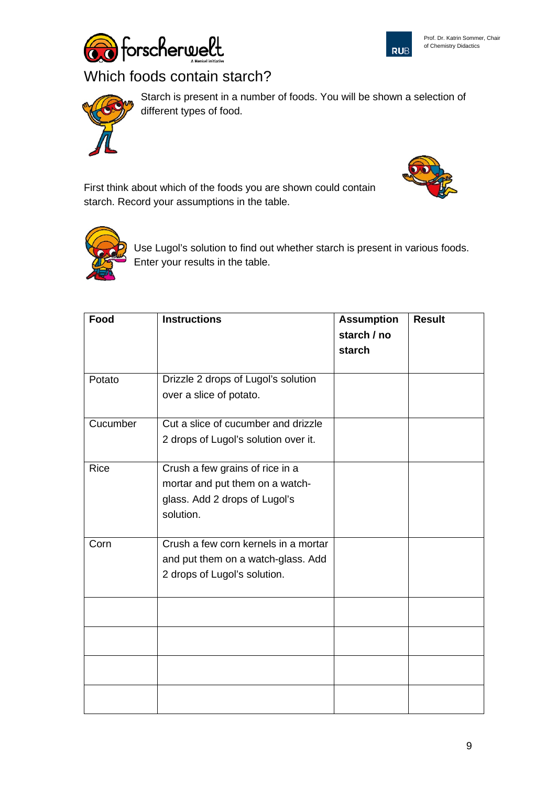



# Which foods contain starch?



Starch is present in a number of foods. You will be shown a selection of different types of food.

First think about which of the foods you are shown could contain starch. Record your assumptions in the table.





Use Lugol's solution to find out whether starch is present in various foods. Enter your results in the table.

| Food     | <b>Instructions</b>                  | <b>Assumption</b> | <b>Result</b> |
|----------|--------------------------------------|-------------------|---------------|
|          |                                      | starch / no       |               |
|          |                                      | starch            |               |
|          |                                      |                   |               |
| Potato   | Drizzle 2 drops of Lugol's solution  |                   |               |
|          | over a slice of potato.              |                   |               |
|          |                                      |                   |               |
| Cucumber | Cut a slice of cucumber and drizzle  |                   |               |
|          | 2 drops of Lugol's solution over it. |                   |               |
| Rice     | Crush a few grains of rice in a      |                   |               |
|          | mortar and put them on a watch-      |                   |               |
|          | glass. Add 2 drops of Lugol's        |                   |               |
|          | solution.                            |                   |               |
|          |                                      |                   |               |
| Corn     | Crush a few corn kernels in a mortar |                   |               |
|          | and put them on a watch-glass. Add   |                   |               |
|          | 2 drops of Lugol's solution.         |                   |               |
|          |                                      |                   |               |
|          |                                      |                   |               |
|          |                                      |                   |               |
|          |                                      |                   |               |
|          |                                      |                   |               |
|          |                                      |                   |               |
|          |                                      |                   |               |
|          |                                      |                   |               |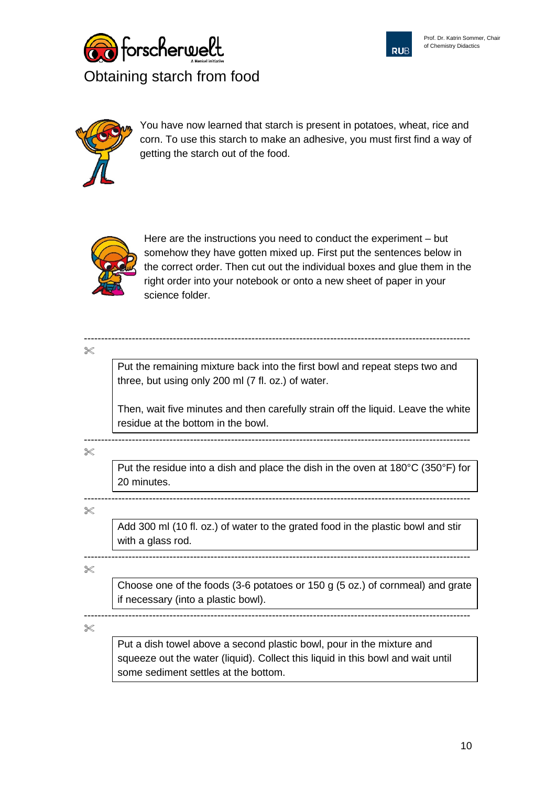





You have now learned that starch is present in potatoes, wheat, rice and corn. To use this starch to make an adhesive, you must first find a way of getting the starch out of the food.



Here are the instructions you need to conduct the experiment – but somehow they have gotten mixed up. First put the sentences below in the correct order. Then cut out the individual boxes and glue them in the right order into your notebook or onto a new sheet of paper in your science folder.

 $\propto$ 

Put the remaining mixture back into the first bowl and repeat steps two and three, but using only 200 ml (7 fl. oz.) of water.

-----------------------------------------------------------------------------------------------------------------

Then, wait five minutes and then carefully strain off the liquid. Leave the white residue at the bottom in the bowl.

-----------------------------------------------------------------------------------------------------------------  $\!\!\!\!\!\!\!\!\!\times$ 

Put the residue into a dish and place the dish in the oven at 180°C (350°F) for 20 minutes.

-----------------------------------------------------------------------------------------------------------------  $\!\!\!\!\!\!\times\!\!\!\!\!\times$ 

Add 300 ml (10 fl. oz.) of water to the grated food in the plastic bowl and stir with a glass rod.

-----------------------------------------------------------------------------------------------------------------  $\gg$ 

Choose one of the foods (3-6 potatoes or 150 g (5 oz.) of cornmeal) and grate if necessary (into a plastic bowl).

 $\!\!\!\!\!\!\!\!\!\!\times$ 

Put a dish towel above a second plastic bowl, pour in the mixture and squeeze out the water (liquid). Collect this liquid in this bowl and wait until some sediment settles at the bottom.

-----------------------------------------------------------------------------------------------------------------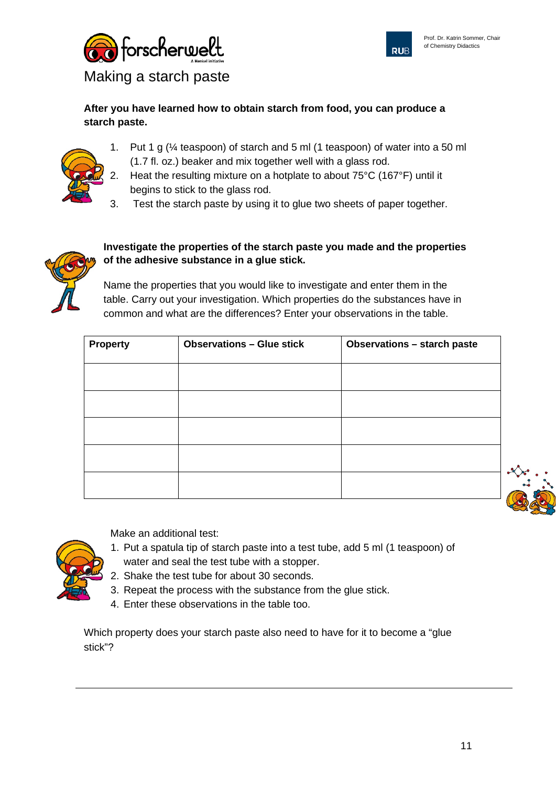



Making a starch paste

## **After you have learned how to obtain starch from food, you can produce a starch paste.**

- 1. Put 1 g (¼ teaspoon) of starch and 5 ml (1 teaspoon) of water into a 50 ml (1.7 fl. oz.) beaker and mix together well with a glass rod.
- 2. Heat the resulting mixture on a hotplate to about 75°C (167°F) until it begins to stick to the glass rod.
- 3. Test the starch paste by using it to glue two sheets of paper together.



## **Investigate the properties of the starch paste you made and the properties of the adhesive substance in a glue stick.**

Name the properties that you would like to investigate and enter them in the table. Carry out your investigation. Which properties do the substances have in common and what are the differences? Enter your observations in the table.

| <b>Property</b> | <b>Observations - Glue stick</b> | <b>Observations - starch paste</b> |
|-----------------|----------------------------------|------------------------------------|
|                 |                                  |                                    |
|                 |                                  |                                    |
|                 |                                  |                                    |
|                 |                                  |                                    |
|                 |                                  |                                    |



Make an additional test:

- 1. Put a spatula tip of starch paste into a test tube, add 5 ml (1 teaspoon) of water and seal the test tube with a stopper.
- 2. Shake the test tube for about 30 seconds.
- 3. Repeat the process with the substance from the glue stick.
- 4. Enter these observations in the table too.

Which property does your starch paste also need to have for it to become a "glue stick"?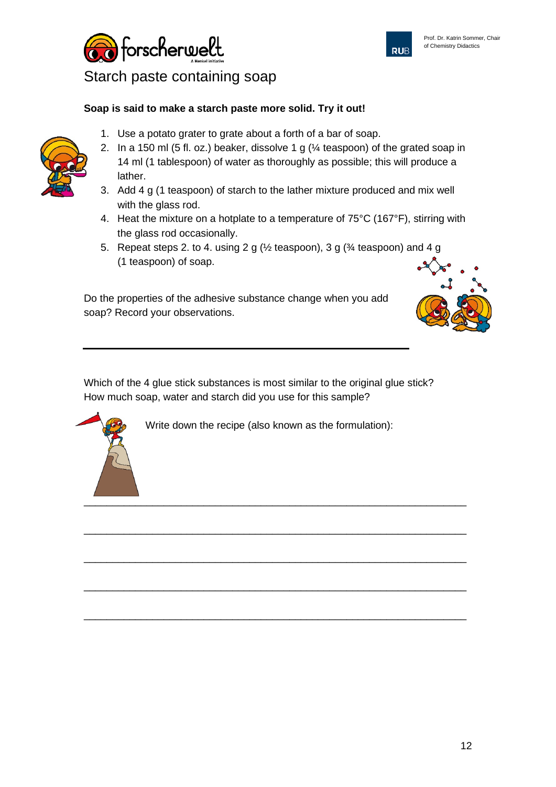



1. Use a potato grater to grate about a forth of a bar of soap.



- 3. Add 4 g (1 teaspoon) of starch to the lather mixture produced and mix well with the glass rod.
- 4. Heat the mixture on a hotplate to a temperature of 75°C (167°F), stirring with the glass rod occasionally.
- 5. Repeat steps 2. to 4. using 2 g (½ teaspoon), 3 g (¾ teaspoon) and 4 g (1 teaspoon) of soap.

Do the properties of the adhesive substance change when you add soap? Record your observations.

Which of the 4 glue stick substances is most similar to the original glue stick? How much soap, water and starch did you use for this sample?

Write down the recipe (also known as the formulation):

\_\_\_\_\_\_\_\_\_\_\_\_\_\_\_\_\_\_\_\_\_\_\_\_\_\_\_\_\_\_\_\_\_\_\_\_\_\_\_\_\_\_\_\_\_\_\_\_\_\_\_\_\_\_\_\_\_\_\_\_\_\_\_\_\_\_\_

\_\_\_\_\_\_\_\_\_\_\_\_\_\_\_\_\_\_\_\_\_\_\_\_\_\_\_\_\_\_\_\_\_\_\_\_\_\_\_\_\_\_\_\_\_\_\_\_\_\_\_\_\_\_\_\_\_\_\_\_\_\_\_\_\_\_\_

\_\_\_\_\_\_\_\_\_\_\_\_\_\_\_\_\_\_\_\_\_\_\_\_\_\_\_\_\_\_\_\_\_\_\_\_\_\_\_\_\_\_\_\_\_\_\_\_\_\_\_\_\_\_\_\_\_\_\_\_\_\_\_\_\_\_\_

\_\_\_\_\_\_\_\_\_\_\_\_\_\_\_\_\_\_\_\_\_\_\_\_\_\_\_\_\_\_\_\_\_\_\_\_\_\_\_\_\_\_\_\_\_\_\_\_\_\_\_\_\_\_\_\_\_\_\_\_\_\_\_\_\_\_\_

**RUB** 



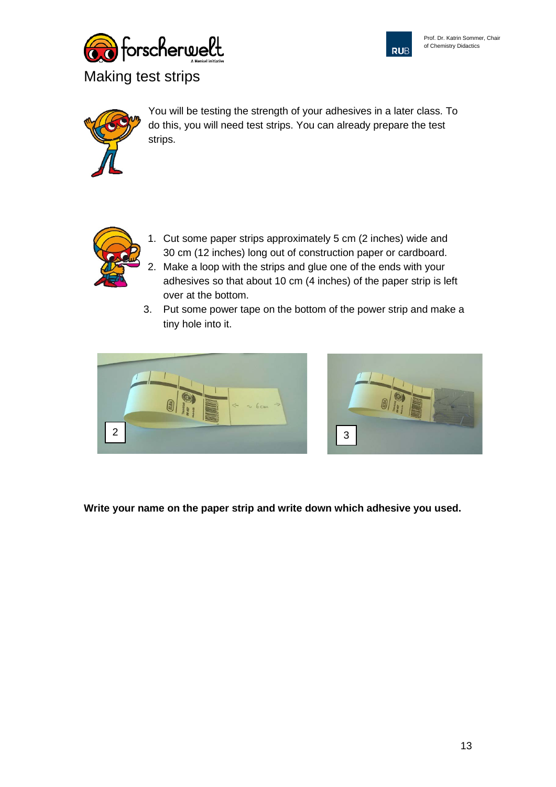





You will be testing the strength of your adhesives in a later class. To do this, you will need test strips. You can already prepare the test strips.



- 1. Cut some paper strips approximately 5 cm (2 inches) wide and 30 cm (12 inches) long out of construction paper or cardboard. 2. Make a loop with the strips and glue one of the ends with your adhesives so that about 10 cm (4 inches) of the paper strip is left over at the bottom.
- 3. Put some power tape on the bottom of the power strip and make a tiny hole into it.





**Write your name on the paper strip and write down which adhesive you used.**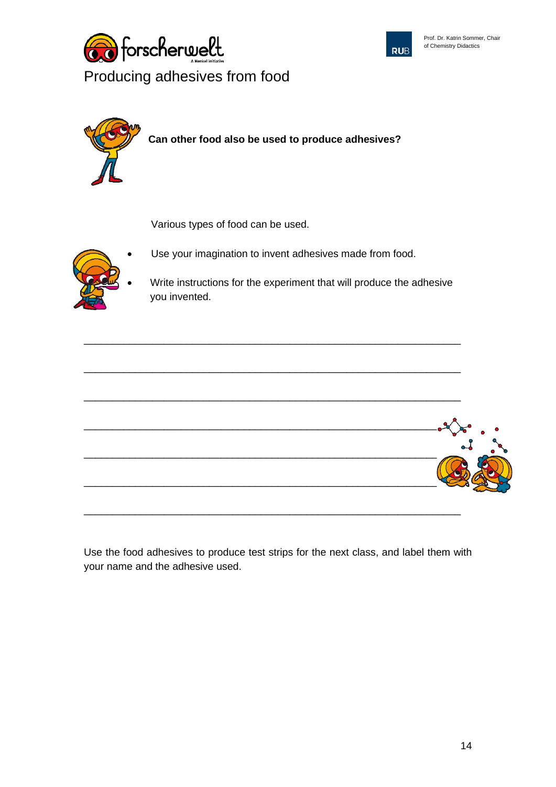





Various types of food can be used.



Use your imagination to invent adhesives made from food.

\_\_\_\_\_\_\_\_\_\_\_\_\_\_\_\_\_\_\_\_\_\_\_\_\_\_\_\_\_\_\_\_\_\_\_\_\_\_\_\_\_\_\_\_\_\_\_\_\_\_\_\_\_\_\_\_\_\_\_\_\_\_\_\_\_\_

• Write instructions for the experiment that will produce the adhesive you invented.



Use the food adhesives to produce test strips for the next class, and label them with your name and the adhesive used.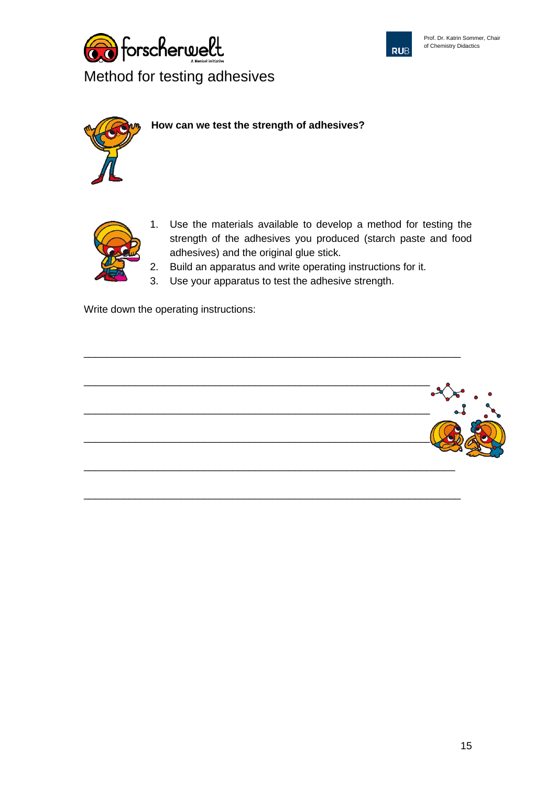







- 1. Use the materials available to develop a method for testing the strength of the adhesives you produced (starch paste and food adhesives) and the original glue stick.
- 2. Build an apparatus and write operating instructions for it.
- 3. Use your apparatus to test the adhesive strength.

\_\_\_\_\_\_\_\_\_\_\_\_\_\_\_\_\_\_\_\_\_\_\_\_\_\_\_\_\_\_\_\_\_\_\_\_\_\_\_\_\_\_\_\_\_\_\_\_\_\_\_\_\_\_\_\_\_\_\_\_\_\_\_\_\_\_

\_\_\_\_\_\_\_\_\_\_\_\_\_\_\_\_\_\_\_\_\_\_\_\_\_\_\_\_\_\_\_\_\_\_\_\_\_\_\_\_\_\_\_\_\_\_\_\_\_\_\_\_\_\_\_\_\_\_\_\_\_\_\_\_\_\_

Write down the operating instructions: